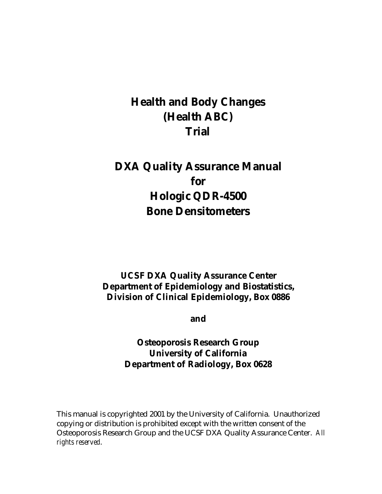# **Health and Body Changes (Health ABC) Trial**

# **DXA Quality Assurance Manual for Hologic QDR-4500 Bone Densitometers**

# **UCSF DXA Quality Assurance Center Department of Epidemiology and Biostatistics, Division of Clinical Epidemiology, Box 0886**

**and** 

# **Osteoporosis Research Group University of California Department of Radiology, Box 0628**

This manual is copyrighted 2001 by the University of California. Unauthorized copying or distribution is prohibited except with the written consent of the Osteoporosis Research Group and the UCSF DXA Quality Assurance Center. *All rights reserved*.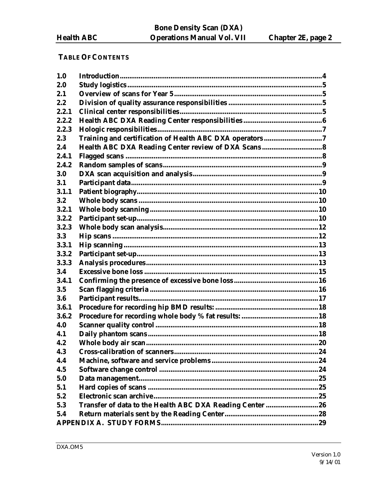# **TABLE OF CONTENTS**

| 1.0   |                                                          |  |
|-------|----------------------------------------------------------|--|
| 2.0   |                                                          |  |
| 2.1   |                                                          |  |
| 2.2   |                                                          |  |
| 2.2.1 |                                                          |  |
| 2.2.2 |                                                          |  |
| 2.2.3 |                                                          |  |
| 2.3   | Training and certification of Health ABC DXA operators 7 |  |
| 2.4   | Health ABC DXA Reading Center review of DXA Scans 8      |  |
| 2.4.1 |                                                          |  |
| 2.4.2 |                                                          |  |
| 3.0   |                                                          |  |
| 3.1   |                                                          |  |
| 3.1.1 |                                                          |  |
| 3.2   |                                                          |  |
| 3.2.1 |                                                          |  |
| 3.2.2 |                                                          |  |
| 3.2.3 |                                                          |  |
| 3.3   |                                                          |  |
| 3.3.1 |                                                          |  |
| 3.3.2 |                                                          |  |
| 3.3.3 |                                                          |  |
| 3.4   |                                                          |  |
| 3.4.1 |                                                          |  |
| 3.5   |                                                          |  |
| 3.6   |                                                          |  |
| 3.6.1 |                                                          |  |
| 3.6.2 |                                                          |  |
| 4.0   |                                                          |  |
| 4.1   |                                                          |  |
| 4.2   |                                                          |  |
| 4.3   |                                                          |  |
| 4.4   |                                                          |  |
| 4.5   |                                                          |  |
| 5.0   |                                                          |  |
| 5.1   |                                                          |  |
| 5.2   |                                                          |  |
| 5.3   |                                                          |  |
| 5.4   |                                                          |  |
|       |                                                          |  |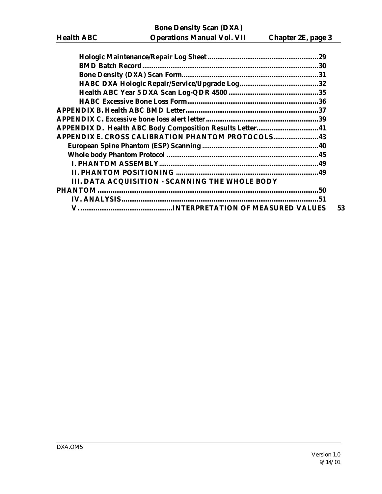| <b>APPENDIX D. Health ABC Body Composition Results Letter 41</b> |     |
|------------------------------------------------------------------|-----|
| <b>APPENDIX E. CROSS CALIBRATION PHANTOM PROTOCOLS 43</b>        |     |
|                                                                  |     |
|                                                                  |     |
|                                                                  |     |
|                                                                  |     |
| III. DATA ACQUISITION - SCANNING THE WHOLE BODY                  |     |
| <b>PHANTOM</b>                                                   | .50 |
|                                                                  | 51  |
|                                                                  | 53  |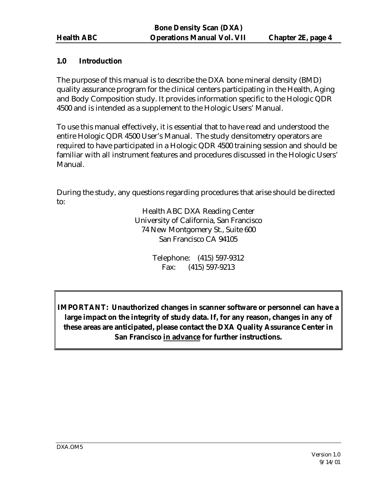# **1.0 Introduction**

The purpose of this manual is to describe the DXA bone mineral density (BMD) quality assurance program for the clinical centers participating in the Health, Aging and Body Composition study. It provides information specific to the Hologic QDR 4500 and is intended as a supplement to the Hologic Users' Manual.

To use this manual effectively, it is essential that to have read and understood the entire Hologic QDR 4500 User's Manual. The study densitometry operators are required to have participated in a Hologic QDR 4500 training session and should be familiar with all instrument features and procedures discussed in the Hologic Users' Manual.

During the study, any questions regarding procedures that arise should be directed to:

> Health ABC DXA Reading Center University of California, San Francisco 74 New Montgomery St., Suite 600 San Francisco CA 94105

> > Telephone: (415) 597-9312 Fax: (415) 597-9213

**IMPORTANT: Unauthorized changes in scanner software or personnel can have a large impact on the integrity of study data. If, for any reason, changes in any of these areas are anticipated, please contact the DXA Quality Assurance Center in San Francisco in advance for further instructions.**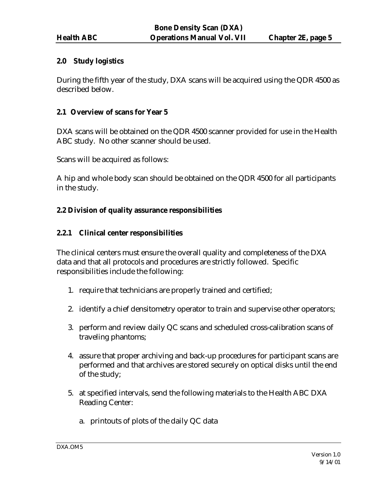#### **2.0 Study logistics**

During the fifth year of the study, DXA scans will be acquired using the QDR 4500 as described below.

#### **2.1 Overview of scans for Year 5**

DXA scans will be obtained on the QDR 4500 scanner provided for use in the Health ABC study. No other scanner should be used.

Scans will be acquired as follows:

A hip and whole body scan should be obtained on the QDR 4500 for all participants in the study.

#### **2.2 Division of quality assurance responsibilities**

#### **2.2.1 Clinical center responsibilities**

The clinical centers must ensure the overall quality and completeness of the DXA data and that all protocols and procedures are strictly followed. Specific responsibilities include the following:

- 1. require that technicians are properly trained and certified;
- 2. identify a chief densitometry operator to train and supervise other operators;
- 3. perform and review daily QC scans and scheduled cross-calibration scans of traveling phantoms;
- 4. assure that proper archiving and back-up procedures for participant scans are performed and that archives are stored securely on optical disks until the end of the study;
- 5. at specified intervals, send the following materials to the Health ABC DXA Reading Center:
	- a. printouts of plots of the daily QC data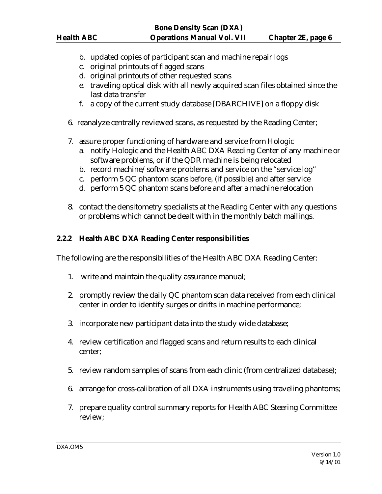- b. updated copies of participant scan and machine repair logs
- c. original printouts of flagged scans
- d. original printouts of other requested scans
- e. traveling optical disk with all newly acquired scan files obtained since the last data transfer
- f. a copy of the current study database [DBARCHIVE] on a floppy disk
- 6. reanalyze centrally reviewed scans, as requested by the Reading Center;
- 7. assure proper functioning of hardware and service from Hologic
	- a. notify Hologic and the Health ABC DXA Reading Center of any machine or software problems, or if the QDR machine is being relocated
	- b. record machine/software problems and service on the "service log"
	- c. perform 5 QC phantom scans before, (if possible) and after service
	- d. perform 5 QC phantom scans before and after a machine relocation
- 8. contact the densitometry specialists at the Reading Center with any questions or problems which cannot be dealt with in the monthly batch mailings.

### **2.2.2 Health ABC DXA Reading Center responsibilities**

The following are the responsibilities of the Health ABC DXA Reading Center:

- 1. write and maintain the quality assurance manual;
- 2. promptly review the daily QC phantom scan data received from each clinical center in order to identify surges or drifts in machine performance;
- 3. incorporate new participant data into the study wide database;
- 4. review certification and flagged scans and return results to each clinical center;
- 5. review random samples of scans from each clinic (from centralized database);
- 6. arrange for cross-calibration of all DXA instruments using traveling phantoms;
- 7. prepare quality control summary reports for Health ABC Steering Committee review;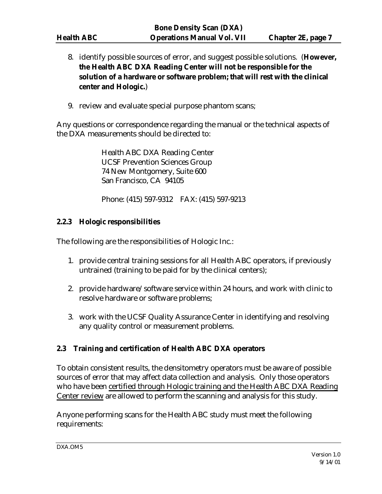- 8. identify possible sources of error, and suggest possible solutions. (**However, the Health ABC DXA Reading Center will not be responsible for the solution of a hardware or software problem; that will rest with the clinical center and Hologic.**)
- 9. review and evaluate special purpose phantom scans;

Any questions or correspondence regarding the manual or the technical aspects of the DXA measurements should be directed to:

> Health ABC DXA Reading Center UCSF Prevention Sciences Group 74 New Montgomery, Suite 600 San Francisco, CA 94105

Phone: (415) 597-9312 FAX: (415) 597-9213

### **2.2.3 Hologic responsibilities**

The following are the responsibilities of Hologic Inc.:

- 1. provide central training sessions for all Health ABC operators, if previously untrained (training to be paid for by the clinical centers);
- 2. provide hardware/software service within 24 hours, and work with clinic to resolve hardware or software problems;
- 3. work with the UCSF Quality Assurance Center in identifying and resolving any quality control or measurement problems.

# **2.3 Training and certification of Health ABC DXA operators**

To obtain consistent results, the densitometry operators must be aware of possible sources of error that may affect data collection and analysis. Only those operators who have been certified through Hologic training and the Health ABC DXA Reading Center review are allowed to perform the scanning and analysis for this study.

Anyone performing scans for the Health ABC study must meet the following requirements: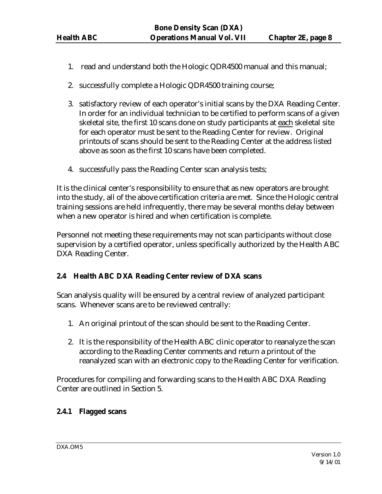- 1. read and understand both the Hologic QDR4500 manual and this manual;
- 2. successfully complete a Hologic QDR4500 training course;
- 3. satisfactory review of each operator's initial scans by the DXA Reading Center. In order for an individual technician to be certified to perform scans of a given skeletal site, the first 10 scans done on study participants at each skeletal site for each operator must be sent to the Reading Center for review. Original printouts of scans should be sent to the Reading Center at the address listed above as soon as the first 10 scans have been completed.
- 4. successfully pass the Reading Center scan analysis tests;

It is the clinical center's responsibility to ensure that as new operators are brought into the study, all of the above certification criteria are met. Since the Hologic central training sessions are held infrequently, there may be several months delay between when a new operator is hired and when certification is complete.

Personnel not meeting these requirements may not scan participants without close supervision by a certified operator, unless specifically authorized by the Health ABC DXA Reading Center.

# **2.4 Health ABC DXA Reading Center review of DXA scans**

Scan analysis quality will be ensured by a central review of analyzed participant scans. Whenever scans are to be reviewed centrally:

- 1. An original printout of the scan should be sent to the Reading Center.
- 2. It is the responsibility of the Health ABC clinic operator to reanalyze the scan according to the Reading Center comments and return a printout of the reanalyzed scan with an electronic copy to the Reading Center for verification.

Procedures for compiling and forwarding scans to the Health ABC DXA Reading Center are outlined in Section 5.

# **2.4.1 Flagged scans**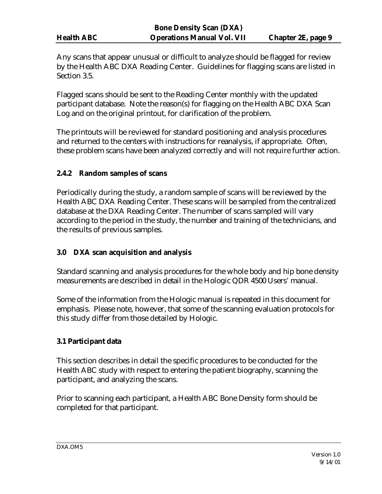Any scans that appear unusual or difficult to analyze should be flagged for review by the Health ABC DXA Reading Center. Guidelines for flagging scans are listed in Section 3.5.

Flagged scans should be sent to the Reading Center monthly with the updated participant database. Note the reason(s) for flagging on the Health ABC DXA Scan Log and on the original printout, for clarification of the problem.

The printouts will be reviewed for standard positioning and analysis procedures and returned to the centers with instructions for reanalysis, if appropriate. Often, these problem scans have been analyzed correctly and will not require further action.

# **2.4.2 Random samples of scans**

Periodically during the study, a random sample of scans will be reviewed by the Health ABC DXA Reading Center. These scans will be sampled from the centralized database at the DXA Reading Center. The number of scans sampled will vary according to the period in the study, the number and training of the technicians, and the results of previous samples.

# **3.0 DXA scan acquisition and analysis**

Standard scanning and analysis procedures for the whole body and hip bone density measurements are described in detail in the Hologic QDR 4500 Users' manual.

Some of the information from the Hologic manual is repeated in this document for emphasis. Please note, however, that some of the scanning evaluation protocols for this study differ from those detailed by Hologic.

#### **3.1 Participant data**

This section describes in detail the specific procedures to be conducted for the Health ABC study with respect to entering the patient biography, scanning the participant, and analyzing the scans.

Prior to scanning each participant, a Health ABC Bone Density form should be completed for that participant.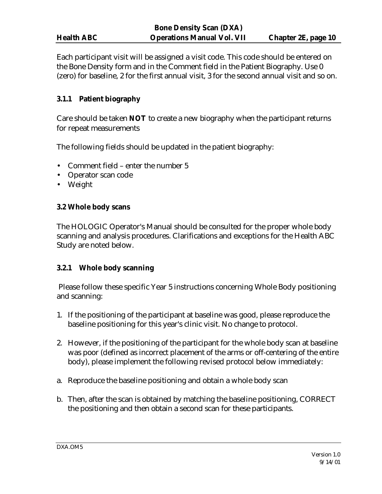Each participant visit will be assigned a visit code. This code should be entered on the Bone Density form and in the Comment field in the Patient Biography. Use 0 (zero) for baseline, 2 for the first annual visit, 3 for the second annual visit and so on.

# **3.1.1 Patient biography**

Care should be taken **NOT** to create a new biography when the participant returns for repeat measurements

The following fields should be updated in the patient biography:

- Comment field enter the number 5
- Operator scan code
- Weight

#### **3.2 Whole body scans**

The HOLOGIC Operator's Manual should be consulted for the proper whole body scanning and analysis procedures. Clarifications and exceptions for the Health ABC Study are noted below.

#### **3.2.1 Whole body scanning**

 Please follow these specific Year 5 instructions concerning Whole Body positioning and scanning:

- 1. If the positioning of the participant at baseline was good, please reproduce the baseline positioning for this year's clinic visit. No change to protocol.
- 2. However, if the positioning of the participant for the whole body scan at baseline was poor (defined as incorrect placement of the arms or off-centering of the entire body), please implement the following revised protocol below immediately:
- a. Reproduce the baseline positioning and obtain a whole body scan
- b. Then, after the scan is obtained by matching the baseline positioning, CORRECT the positioning and then obtain a second scan for these participants.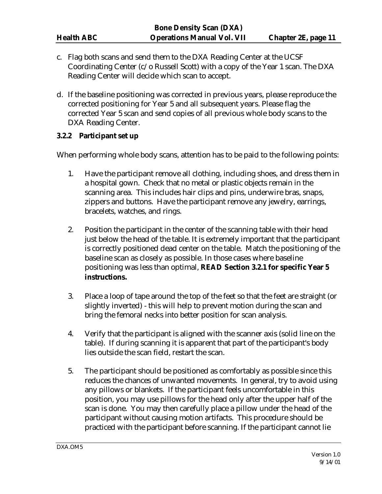- c. Flag both scans and send them to the DXA Reading Center at the UCSF Coordinating Center (c/o Russell Scott) with a copy of the Year 1 scan. The DXA Reading Center will decide which scan to accept.
- d. If the baseline positioning was corrected in previous years, please reproduce the corrected positioning for Year 5 and all subsequent years. Please flag the corrected Year 5 scan and send copies of all previous whole body scans to the DXA Reading Center.

#### **3.2.2 Participant set up**

When performing whole body scans, attention has to be paid to the following points:

- 1. Have the participant remove all clothing, including shoes, and dress them in a hospital gown. Check that no metal or plastic objects remain in the scanning area. This includes hair clips and pins, underwire bras, snaps, zippers and buttons. Have the participant remove any jewelry, earrings, bracelets, watches, and rings.
- 2. Position the participant in the center of the scanning table with their head just below the head of the table. It is extremely important that the participant is correctly positioned dead center on the table. Match the positioning of the baseline scan as closely as possible. In those cases where baseline positioning was less than optimal, **READ Section 3.2.1 for specific Year 5 instructions.**
- 3. Place a loop of tape around the top of the feet so that the feet are straight (or slightly inverted) - this will help to prevent motion during the scan and bring the femoral necks into better position for scan analysis.
- 4. Verify that the participant is aligned with the scanner axis (solid line on the table). If during scanning it is apparent that part of the participant's body lies outside the scan field, restart the scan.
- 5. The participant should be positioned as comfortably as possible since this reduces the chances of unwanted movements. In general, try to avoid using any pillows or blankets. If the participant feels uncomfortable in this position, you may use pillows for the head only after the upper half of the scan is done. You may then carefully place a pillow under the head of the participant without causing motion artifacts. This procedure should be practiced with the participant before scanning. If the participant cannot lie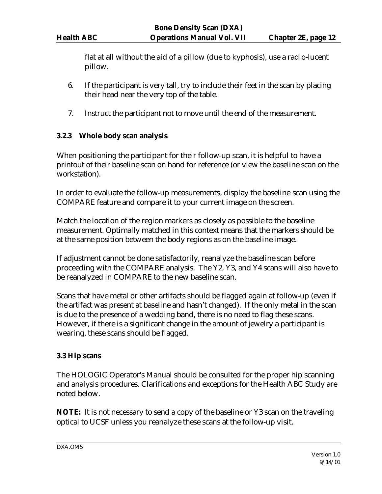flat at all without the aid of a pillow (due to kyphosis), use a radio-lucent pillow.

- 6. If the participant is very tall, try to include their feet in the scan by placing their head near the very top of the table.
- 7. Instruct the participant not to move until the end of the measurement.

### **3.2.3 Whole body scan analysis**

When positioning the participant for their follow-up scan, it is helpful to have a printout of their baseline scan on hand for reference (or view the baseline scan on the workstation).

In order to evaluate the follow-up measurements, display the baseline scan using the COMPARE feature and compare it to your current image on the screen.

Match the location of the region markers as closely as possible to the baseline measurement. Optimally matched in this context means that the markers should be at the same position between the body regions as on the baseline image.

If adjustment cannot be done satisfactorily, reanalyze the baseline scan before proceeding with the COMPARE analysis. The Y2, Y3, and Y4 scans will also have to be reanalyzed in COMPARE to the new baseline scan.

Scans that have metal or other artifacts should be flagged again at follow-up (even if the artifact was present at baseline and hasn't changed). If the only metal in the scan is due to the presence of a wedding band, there is no need to flag these scans. However, if there is a significant change in the amount of jewelry a participant is wearing, these scans should be flagged.

#### **3.3 Hip scans**

The HOLOGIC Operator's Manual should be consulted for the proper hip scanning and analysis procedures. Clarifications and exceptions for the Health ABC Study are noted below.

**NOTE:** It is not necessary to send a copy of the baseline or Y3 scan on the traveling optical to UCSF unless you reanalyze these scans at the follow-up visit.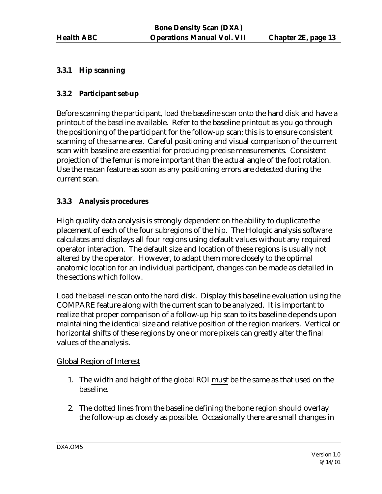### **3.3.1 Hip scanning**

### **3.3.2 Participant set-up**

Before scanning the participant, load the baseline scan onto the hard disk and have a printout of the baseline available. Refer to the baseline printout as you go through the positioning of the participant for the follow-up scan; this is to ensure consistent scanning of the same area. Careful positioning and visual comparison of the current scan with baseline are essential for producing precise measurements. Consistent projection of the femur is more important than the actual angle of the foot rotation. Use the rescan feature as soon as any positioning errors are detected during the current scan.

### **3.3.3 Analysis procedures**

High quality data analysis is strongly dependent on the ability to duplicate the placement of each of the four subregions of the hip. The Hologic analysis software calculates and displays all four regions using default values without any required operator interaction. The default size and location of these regions is usually not altered by the operator. However, to adapt them more closely to the optimal anatomic location for an individual participant, changes can be made as detailed in the sections which follow.

Load the baseline scan onto the hard disk. Display this baseline evaluation using the COMPARE feature along with the current scan to be analyzed. It is important to realize that proper comparison of a follow-up hip scan to its baseline depends upon maintaining the identical size and relative position of the region markers. Vertical or horizontal shifts of these regions by one or more pixels can greatly alter the final values of the analysis.

#### Global Region of Interest

- 1. The width and height of the global ROI must be the same as that used on the baseline.
- 2. The dotted lines from the baseline defining the bone region should overlay the follow-up as closely as possible. Occasionally there are small changes in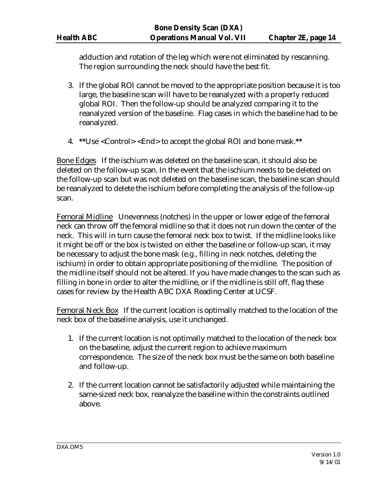adduction and rotation of the leg which were not eliminated by rescanning. The region surrounding the neck should have the best fit.

- 3. If the global ROI cannot be moved to the appropriate position because it is too large, the baseline scan will have to be reanalyzed with a properly reduced global ROI. Then the follow-up should be analyzed comparing it to the reanalyzed version of the baseline. Flag cases in which the baseline had to be reanalyzed.
- 4. **\*\***Use <Control> <End> to accept the global ROI and bone mask.**\*\***

Bone Edges If the ischium was deleted on the baseline scan, it should also be deleted on the follow-up scan. In the event that the ischium needs to be deleted on the follow-up scan but was not deleted on the baseline scan, the baseline scan should be reanalyzed to delete the ischium before completing the analysis of the follow-up scan.

Femoral Midline Unevenness (notches) in the upper or lower edge of the femoral neck can throw off the femoral midline so that it does not run down the center of the neck. This will in turn cause the femoral neck box to twist. If the midline looks like it might be off or the box is twisted on either the baseline or follow-up scan, it may be necessary to adjust the bone mask (e.g., filling in neck notches, deleting the ischium) in order to obtain appropriate positioning of the midline. The position of the midline itself should not be altered. If you have made changes to the scan such as filling in bone in order to alter the midline, or if the midline is still off, flag these cases for review by the Health ABC DXA Reading Center at UCSF.

Femoral Neck Box If the current location is optimally matched to the location of the neck box of the baseline analysis, use it unchanged.

- 1. If the current location is not optimally matched to the location of the neck box on the baseline, adjust the current region to achieve maximum correspondence. The size of the neck box must be the same on both baseline and follow-up.
- 2. If the current location cannot be satisfactorily adjusted while maintaining the same-sized neck box, reanalyze the baseline within the constraints outlined above.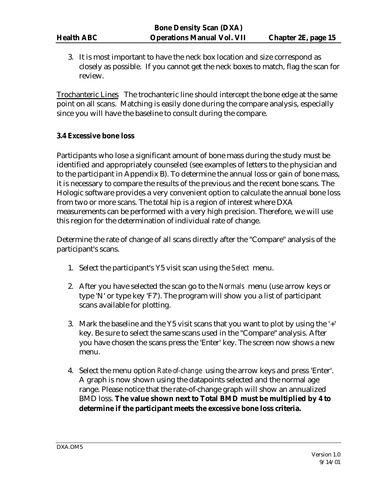3. It is most important to have the neck box location and size correspond as closely as possible. If you cannot get the neck boxes to match, flag the scan for review.

Trochanteric Lines The trochanteric line should intercept the bone edge at the same point on all scans. Matching is easily done during the compare analysis, especially since you will have the baseline to consult during the compare.

#### **3.4 Excessive bone loss**

Participants who lose a significant amount of bone mass during the study must be identified and appropriately counseled (see examples of letters to the physician and to the participant in Appendix B). To determine the annual loss or gain of bone mass, it is necessary to compare the results of the previous and the recent bone scans. The Hologic software provides a very convenient option to calculate the annual bone loss from two or more scans. The total hip is a region of interest where DXA measurements can be performed with a very high precision. Therefore, we will use this region for the determination of individual rate of change.

Determine the rate of change of all scans directly after the "Compare" analysis of the participant's scans.

- 1. Select the participant's Y5 visit scan using the *Select* menu.
- 2. After you have selected the scan go to the *Normals* menu (use arrow keys or type 'N' or type key 'F7'). The program will show you a list of participant scans available for plotting.
- 3. Mark the baseline and the Y5 visit scans that you want to plot by using the '+' key. Be sure to select the same scans used in the "Compare" analysis. After you have chosen the scans press the 'Enter' key. The screen now shows a new menu.
- 4. Select the menu option *Rate-of-change* using the arrow keys and press 'Enter'. A graph is now shown using the datapoints selected and the normal age range. Please notice that the rate-of-change graph will show an annualized BMD loss. **The value shown next to Total BMD must be multiplied by 4 to determine if the participant meets the excessive bone loss criteria.**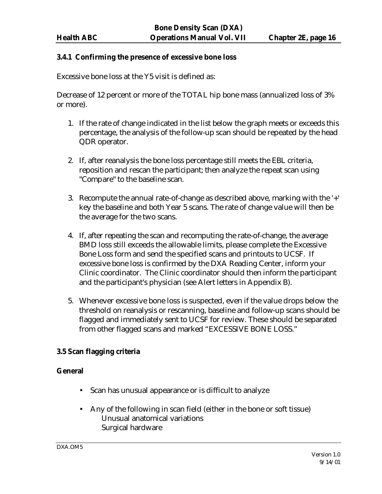#### **3.4.1 Confirming the presence of excessive bone loss**

Excessive bone loss at the Y5 visit is defined as:

Decrease of 12 percent or more of the TOTAL hip bone mass (annualized loss of 3% or more).

- 1. If the rate of change indicated in the list below the graph meets or exceeds this percentage, the analysis of the follow-up scan should be repeated by the head QDR operator.
- 2. If, after reanalysis the bone loss percentage still meets the EBL criteria, reposition and rescan the participant; then analyze the repeat scan using "Compare" to the baseline scan.
- 3. Recompute the annual rate-of-change as described above, marking with the '+' key the baseline and both Year 5 scans. The rate of change value will then be the average for the two scans.
- 4. If, after repeating the scan and recomputing the rate-of-change, the average BMD loss still exceeds the allowable limits, please complete the Excessive Bone Loss form and send the specified scans and printouts to UCSF. If excessive bone loss is confirmed by the DXA Reading Center, inform your Clinic coordinator. The Clinic coordinator should then inform the participant and the participant's physician (see Alert letters in Appendix B).
- 5. Whenever excessive bone loss is suspected, even if the value drops below the threshold on reanalysis or rescanning, baseline and follow-up scans should be flagged and immediately sent to UCSF for review. These should be separated from other flagged scans and marked "EXCESSIVE BONE LOSS."

#### **3.5 Scan flagging criteria**

#### **General**

- Scan has unusual appearance or is difficult to analyze
- Any of the following in scan field (either in the bone or soft tissue) Unusual anatomical variations Surgical hardware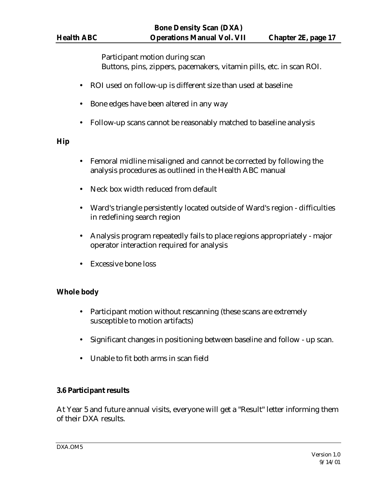Participant motion during scan Buttons, pins, zippers, pacemakers, vitamin pills, etc. in scan ROI.

- ROI used on follow-up is different size than used at baseline
- Bone edges have been altered in any way
- Follow-up scans cannot be reasonably matched to baseline analysis

# **Hip**

- Femoral midline misaligned and cannot be corrected by following the analysis procedures as outlined in the Health ABC manual
- Neck box width reduced from default
- Ward's triangle persistently located outside of Ward's region difficulties in redefining search region
- Analysis program repeatedly fails to place regions appropriately major operator interaction required for analysis
- Excessive bone loss

# **Whole body**

- Participant motion without rescanning (these scans are extremely susceptible to motion artifacts)
- Significant changes in positioning between baseline and follow up scan.
- Unable to fit both arms in scan field

# **3.6 Participant results**

At Year 5 and future annual visits, everyone will get a "Result" letter informing them of their DXA results.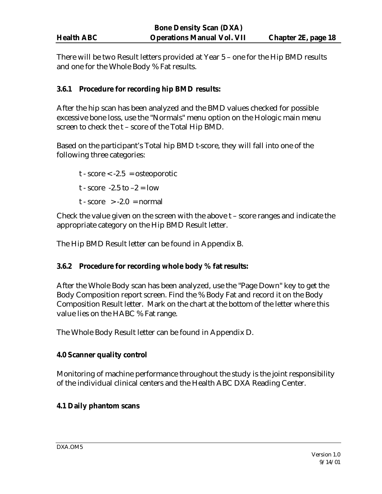| <b>Health ABC</b> |  |
|-------------------|--|
|                   |  |

There will be two Result letters provided at Year 5 – one for the Hip BMD results and one for the Whole Body % Fat results.

# **3.6.1 Procedure for recording hip BMD results:**

After the hip scan has been analyzed and the BMD values checked for possible excessive bone loss, use the "Normals" menu option on the Hologic main menu screen to check the t – score of the Total Hip BMD.

Based on the participant's Total hip BMD t-score, they will fall into one of the following three categories:

 $t - score < -2.5 = osteoporotic$ t - score -2.5 to  $-2 =$  low  $t - score > -2.0 = normal$ 

Check the value given on the screen with the above t – score ranges and indicate the appropriate category on the Hip BMD Result letter.

The Hip BMD Result letter can be found in Appendix B.

#### **3.6.2 Procedure for recording whole body % fat results:**

After the Whole Body scan has been analyzed, use the "Page Down" key to get the Body Composition report screen. Find the % Body Fat and record it on the Body Composition Result letter. Mark on the chart at the bottom of the letter where this value lies on the HABC % Fat range.

The Whole Body Result letter can be found in Appendix D.

# **4.0 Scanner quality control**

Monitoring of machine performance throughout the study is the joint responsibility of the individual clinical centers and the Health ABC DXA Reading Center.

#### **4.1 Daily phantom scans**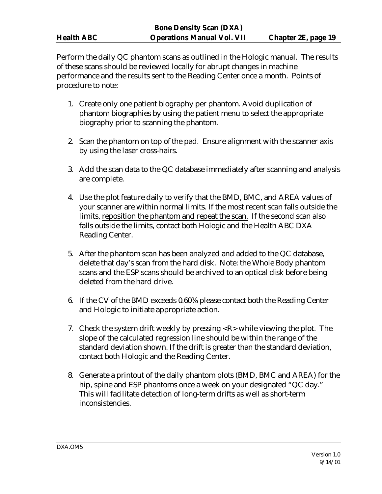Perform the daily QC phantom scans as outlined in the Hologic manual. The results of these scans should be reviewed locally for abrupt changes in machine performance and the results sent to the Reading Center once a month. Points of procedure to note:

- 1. Create only one patient biography per phantom. Avoid duplication of phantom biographies by using the patient menu to select the appropriate biography prior to scanning the phantom.
- 2. Scan the phantom on top of the pad. Ensure alignment with the scanner axis by using the laser cross-hairs.
- 3. Add the scan data to the QC database immediately after scanning and analysis are complete.
- 4. Use the plot feature daily to verify that the BMD, BMC, and AREA values of your scanner are within normal limits. If the most recent scan falls outside the limits, reposition the phantom and repeat the scan. If the second scan also falls outside the limits, contact both Hologic and the Health ABC DXA Reading Center.
- 5. After the phantom scan has been analyzed and added to the QC database, delete that day's scan from the hard disk. Note: the Whole Body phantom scans and the ESP scans should be archived to an optical disk before being deleted from the hard drive.
- 6. If the CV of the BMD exceeds 0.60% please contact both the Reading Center and Hologic to initiate appropriate action.
- 7. Check the system drift weekly by pressing <R> while viewing the plot. The slope of the calculated regression line should be within the range of the standard deviation shown. If the drift is greater than the standard deviation, contact both Hologic and the Reading Center.
- 8. Generate a printout of the daily phantom plots (BMD, BMC and AREA) for the hip, spine and ESP phantoms once a week on your designated "QC day." This will facilitate detection of long-term drifts as well as short-term inconsistencies.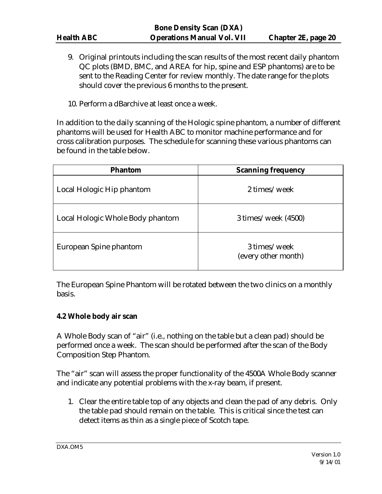- 9. Original printouts including the scan results of the most recent daily phantom QC plots (BMD, BMC, and AREA for hip, spine and ESP phantoms) are to be sent to the Reading Center for review monthly. The date range for the plots should cover the previous 6 months to the present.
- 10. Perform a dBarchive at least once a week.

In addition to the daily scanning of the Hologic spine phantom, a number of different phantoms will be used for Health ABC to monitor machine performance and for cross calibration purposes. The schedule for scanning these various phantoms can be found in the table below.

| <b>Phantom</b>                   | <b>Scanning frequency</b>           |
|----------------------------------|-------------------------------------|
| Local Hologic Hip phantom        | 2 times/week                        |
| Local Hologic Whole Body phantom | $3 \times /$ week (4500)            |
| European Spine phantom           | 3 times/week<br>(every other month) |

The European Spine Phantom will be rotated between the two clinics on a monthly basis.

#### **4.2 Whole body air scan**

A Whole Body scan of "air" (i.e., nothing on the table but a clean pad) should be performed once a week. The scan should be performed after the scan of the Body Composition Step Phantom.

The "air" scan will assess the proper functionality of the 4500A Whole Body scanner and indicate any potential problems with the x-ray beam, if present.

1. Clear the entire table top of any objects and clean the pad of any debris. Only the table pad should remain on the table. This is critical since the test can detect items as thin as a single piece of Scotch tape.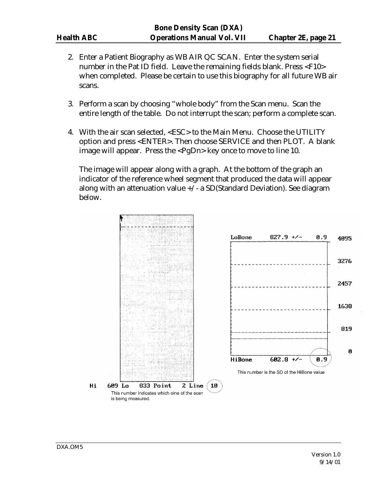- 2. Enter a Patient Biography as WB AIR QC SCAN. Enter the system serial number in the Pat ID field. Leave the remaining fields blank. Press <F10> when completed. Please be certain to use this biography for all future WB air scans.
- 3. Perform a scan by choosing "whole body" from the Scan menu. Scan the entire length of the table. Do not interrupt the scan; perform a complete scan.
- 4. With the air scan selected, <ESC> to the Main Menu. Choose the UTILITY option and press <ENTER>. Then choose SERVICE and then PLOT. A blank image will appear. Press the <PgDn> key once to move to line 10.

The image will appear along with a graph. At the bottom of the graph an indicator of the reference wheel segment that produced the data will appear along with an attenuation value  $+\prime$  - a SD(Standard Deviation). See diagram below.

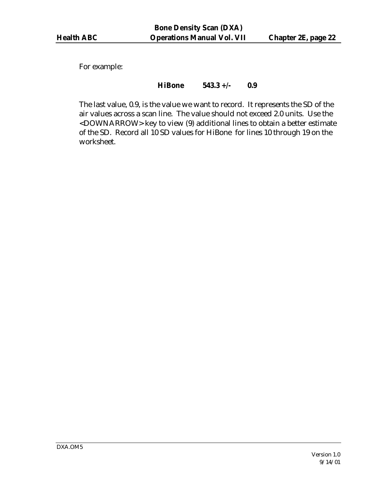For example:

### **HiBone 543.3 +/- 0.9**

The last value, 0.9, is the value we want to record. It represents the SD of the air values across a scan line. The value should not exceed 2.0 units. Use the <DOWNARROW> key to view (9) additional lines to obtain a better estimate of the SD. Record all 10 SD values for HiBone for lines 10 through 19 on the worksheet.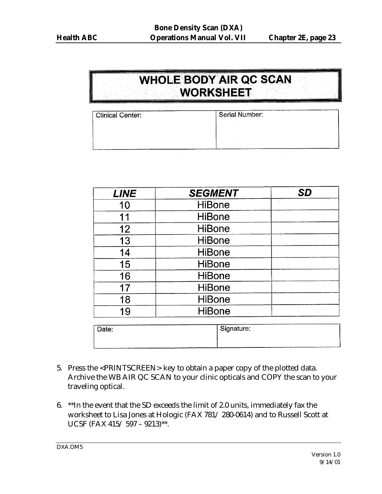# **WHOLE BODY AIR QC SCAN WORKSHEET**

| <b>Clinical Center:</b> | Serial Number: |
|-------------------------|----------------|
|                         |                |
|                         |                |
|                         |                |

| <b>LINE</b> | <b>SEGMENT</b> | <b>SD</b> |
|-------------|----------------|-----------|
| 10          | <b>HiBone</b>  |           |
| 11          | <b>HiBone</b>  |           |
| 12          | <b>HiBone</b>  |           |
| 13          | <b>HiBone</b>  |           |
| 14          | <b>HiBone</b>  |           |
| 15          | <b>HiBone</b>  |           |
| 16          | <b>HiBone</b>  |           |
| 17          | <b>HiBone</b>  |           |
| 18          | <b>HiBone</b>  |           |
| 19          | <b>HiBone</b>  |           |
|             |                |           |

| Signature: |
|------------|
|            |

- 5. Press the <PRINTSCREEN> key to obtain a paper copy of the plotted data. Archive the WB AIR QC SCAN to your clinic opticals and COPY the scan to your traveling optical.
- 6. \*\*In the event that the SD exceeds the limit of 2.0 units, immediately fax the worksheet to Lisa Jones at Hologic (FAX 781/ 280-0614) and to Russell Scott at UCSF (FAX 415/ 597 – 9213)\*\*.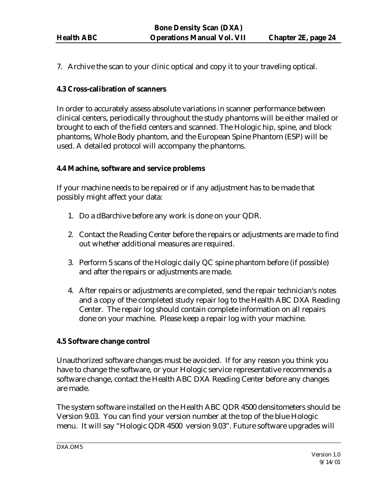7. Archive the scan to your clinic optical and copy it to your traveling optical.

# **4.3 Cross-calibration of scanners**

In order to accurately assess absolute variations in scanner performance between clinical centers, periodically throughout the study phantoms will be either mailed or brought to each of the field centers and scanned. The Hologic hip, spine, and block phantoms, Whole Body phantom, and the European Spine Phantom (ESP) will be used. A detailed protocol will accompany the phantoms.

# **4.4 Machine, software and service problems**

If your machine needs to be repaired or if any adjustment has to be made that possibly might affect your data:

- 1. Do a dBarchive before any work is done on your QDR.
- 2. Contact the Reading Center before the repairs or adjustments are made to find out whether additional measures are required.
- 3. Perform 5 scans of the Hologic daily QC spine phantom before (if possible) and after the repairs or adjustments are made.
- 4. After repairs or adjustments are completed, send the repair technician's notes and a copy of the completed study repair log to the Health ABC DXA Reading Center. The repair log should contain complete information on all repairs done on your machine. Please keep a repair log with your machine.

# **4.5 Software change control**

Unauthorized software changes must be avoided. If for any reason you think you have to change the software, or your Hologic service representative recommends a software change, contact the Health ABC DXA Reading Center before any changes are made.

The system software installed on the Health ABC QDR 4500 densitometers should be Version 9.03. You can find your version number at the top of the blue Hologic menu. It will say "Hologic QDR 4500 version 9.03". Future software upgrades will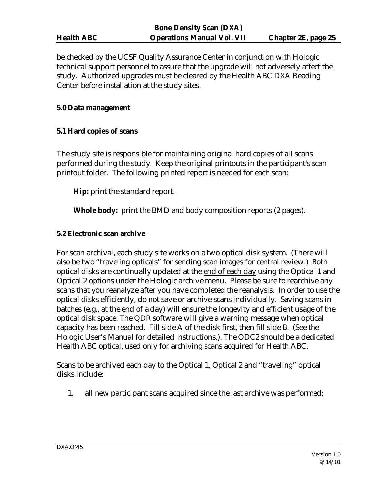be checked by the UCSF Quality Assurance Center in conjunction with Hologic technical support personnel to assure that the upgrade will not adversely affect the study. Authorized upgrades must be cleared by the Health ABC DXA Reading Center before installation at the study sites.

#### **5.0 Data management**

#### **5.1 Hard copies of scans**

The study site is responsible for maintaining original hard copies of all scans performed during the study. Keep the original printouts in the participant's scan printout folder. The following printed report is needed for each scan:

**Hip:** print the standard report.

**Whole body:** print the BMD and body composition reports (2 pages).

#### **5.2 Electronic scan archive**

For scan archival, each study site works on a two optical disk system. (There will also be two "traveling opticals" for sending scan images for central review.) Both optical disks are continually updated at the end of each day using the Optical 1 and Optical 2 options under the Hologic archive menu. Please be sure to rearchive any scans that you reanalyze after you have completed the reanalysis. In order to use the optical disks efficiently, do not save or archive scans individually. Saving scans in batches (e.g., at the end of a day) will ensure the longevity and efficient usage of the optical disk space. The QDR software will give a warning message when optical capacity has been reached. Fill side A of the disk first, then fill side B. (See the Hologic User's Manual for detailed instructions.). The ODC2 should be a dedicated Health ABC optical, used only for archiving scans acquired for Health ABC.

Scans to be archived each day to the Optical 1, Optical 2 and "traveling" optical disks include:

1. all new participant scans acquired since the last archive was performed;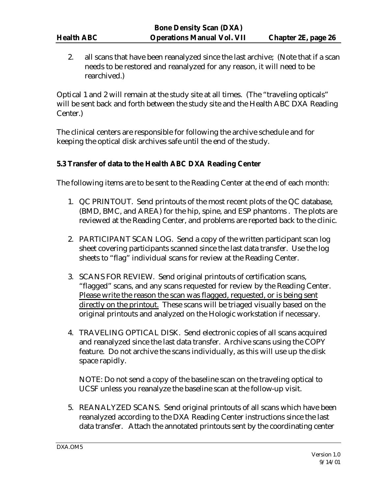2. all scans that have been reanalyzed since the last archive; (Note that if a scan needs to be restored and reanalyzed for any reason, it will need to be rearchived.)

Optical 1 and 2 will remain at the study site at all times. (The "traveling opticals" will be sent back and forth between the study site and the Health ABC DXA Reading Center.)

The clinical centers are responsible for following the archive schedule and for keeping the optical disk archives safe until the end of the study.

# **5.3 Transfer of data to the Health ABC DXA Reading Center**

The following items are to be sent to the Reading Center at the end of each month:

- 1. QC PRINTOUT. Send printouts of the most recent plots of the QC database, (BMD, BMC, and AREA) for the hip, spine, and ESP phantoms . The plots are reviewed at the Reading Center, and problems are reported back to the clinic.
- 2. PARTICIPANT SCAN LOG. Send a copy of the written participant scan log sheet covering participants scanned since the last data transfer. Use the log sheets to "flag" individual scans for review at the Reading Center.
- 3. SCANS FOR REVIEW. Send original printouts of certification scans, "flagged" scans, and any scans requested for review by the Reading Center. Please write the reason the scan was flagged, requested, or is being sent directly on the printout. These scans will be triaged visually based on the original printouts and analyzed on the Hologic workstation if necessary.
- 4. TRAVELING OPTICAL DISK. Send electronic copies of all scans acquired and reanalyzed since the last data transfer. Archive scans using the COPY feature. Do not archive the scans individually, as this will use up the disk space rapidly.

NOTE: Do not send a copy of the baseline scan on the traveling optical to UCSF unless you reanalyze the baseline scan at the follow-up visit.

5. REANALYZED SCANS. Send original printouts of all scans which have been reanalyzed according to the DXA Reading Center instructions since the last data transfer. Attach the annotated printouts sent by the coordinating center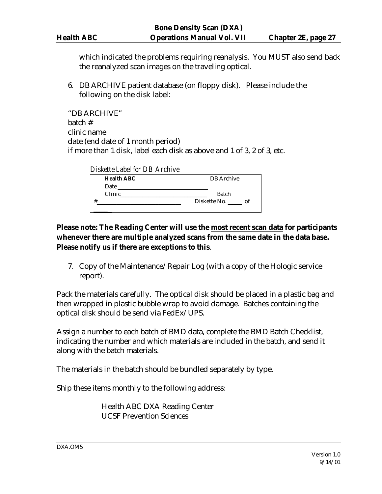which indicated the problems requiring reanalysis. You MUST also send back the reanalyzed scan images on the traveling optical.

6. DB ARCHIVE patient database (on floppy disk). Please include the following on the disk label:

"DB ARCHIVE" batch # clinic name date (end date of 1 month period) if more than 1 disk, label each disk as above and 1 of 3, 2 of 3, etc.

| Diskette Label for DB Archive |                   |
|-------------------------------|-------------------|
| <b>Health ABC</b>             | <b>DB</b> Archive |
| Date                          |                   |
| Clinic                        | Batch             |
| #                             | Diskette No. of   |
|                               |                   |

# **Please note: The Reading Center will use the most recent scan data for participants whenever there are multiple analyzed scans from the same date in the data base. Please notify us if there are exceptions to this**.

7. Copy of the Maintenance/Repair Log (with a copy of the Hologic service report).

Pack the materials carefully. The optical disk should be placed in a plastic bag and then wrapped in plastic bubble wrap to avoid damage. Batches containing the optical disk should be send via FedEx/UPS.

Assign a number to each batch of BMD data, complete the BMD Batch Checklist, indicating the number and which materials are included in the batch, and send it along with the batch materials.

The materials in the batch should be bundled separately by type.

Ship these items monthly to the following address:

Health ABC DXA Reading Center UCSF Prevention Sciences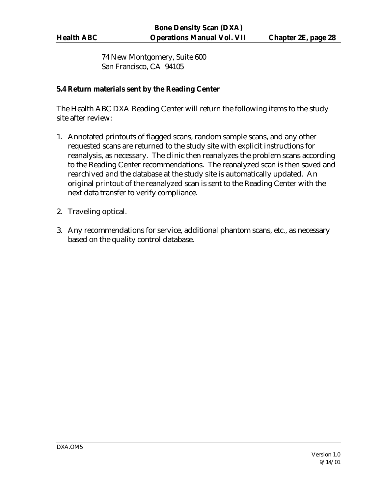74 New Montgomery, Suite 600 San Francisco, CA 94105

### **5.4 Return materials sent by the Reading Center**

The Health ABC DXA Reading Center will return the following items to the study site after review:

- 1. Annotated printouts of flagged scans, random sample scans, and any other requested scans are returned to the study site with explicit instructions for reanalysis, as necessary. The clinic then reanalyzes the problem scans according to the Reading Center recommendations. The reanalyzed scan is then saved and rearchived and the database at the study site is automatically updated. An original printout of the reanalyzed scan is sent to the Reading Center with the next data transfer to verify compliance.
- 2. Traveling optical.
- 3. Any recommendations for service, additional phantom scans, etc., as necessary based on the quality control database.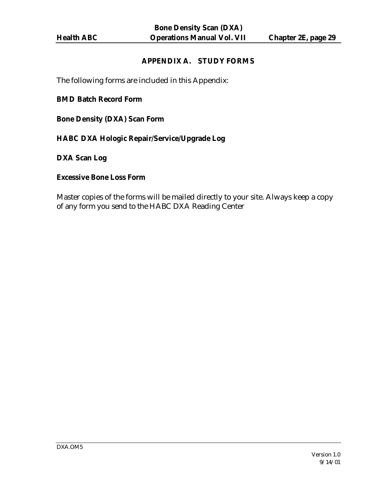### **APPENDIX A. STUDY FORMS**

The following forms are included in this Appendix:

#### **BMD Batch Record Form**

**Bone Density (DXA) Scan Form**

**HABC DXA Hologic Repair/Service/Upgrade Log** 

**DXA Scan Log**

#### **Excessive Bone Loss Form**

Master copies of the forms will be mailed directly to your site. Always keep a copy of any form you send to the HABC DXA Reading Center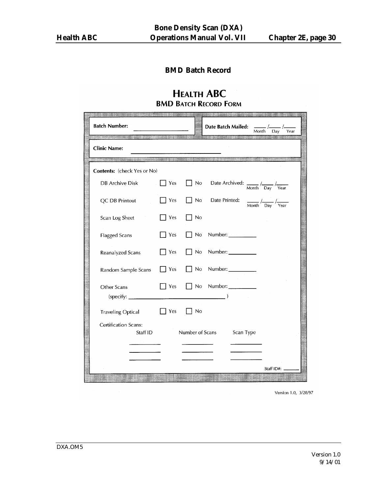# **BMD Batch Record**

# **HEALTH ABC BMD BATCH RECORD FORM**

| <b>Batch Number:</b><br>in to a plant of many control of the second second control of the control of the control of |             |                 | Date Batch Mailed:<br>Year<br>Month<br>Dav                                                   |
|---------------------------------------------------------------------------------------------------------------------|-------------|-----------------|----------------------------------------------------------------------------------------------|
| <b>Clinic Name:</b>                                                                                                 |             |                 |                                                                                              |
| Contents: (check Yes or No)                                                                                         |             |                 | 计主任务主要求控制的计算机的判决 计步序的变形 计字母字母 经出口                                                            |
| DB Archive Disk                                                                                                     | Yes         | No              | Date Archived: $\frac{1}{\text{Month}} / \frac{1}{\text{Day}} / \frac{1}{\text{Year}}$       |
| QC DB Printout                                                                                                      | T Yes       | No              | Date Printed:<br>$\frac{1}{\text{Month}}$ / $\frac{1}{\text{Day}}$ / $\frac{1}{\text{Year}}$ |
| Scan Log Sheet                                                                                                      | Yes         | No              |                                                                                              |
| <b>Flagged Scans</b>                                                                                                | Yes         | <b>No</b>       | Number:                                                                                      |
| Reanalyzed Scans                                                                                                    | $\vert$ Yes | $\mathsf{a}$    | Number:                                                                                      |
| Random Sample Scans                                                                                                 | 7 Yes       | $\Box$ No       | Number:                                                                                      |
| Other Scans<br>(specify: _                                                                                          | Yes         | <b>No</b>       | Number: $\frac{1}{2}$                                                                        |
| <b>Traveling Optical</b>                                                                                            | Yes         | No              |                                                                                              |
| Certification Scans:<br>Staff ID                                                                                    |             | Number of Scans | Scan Type                                                                                    |
|                                                                                                                     |             |                 |                                                                                              |
|                                                                                                                     |             |                 | Staff ID#:                                                                                   |
|                                                                                                                     |             |                 |                                                                                              |

Version 1.0, 3/28/97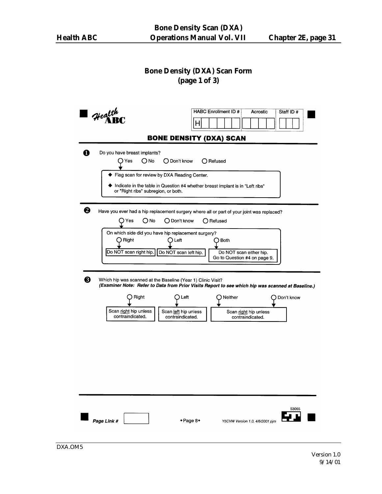# **Bone Density (DXA) Scan Form (page 1 of 3)**

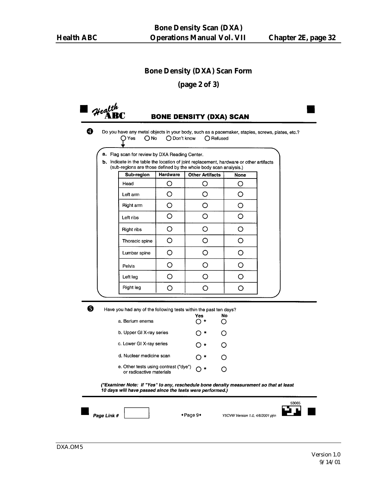#### **Bone Density (DXA) Scan Form**

**(page 2 of 3)**

Health

### **BONE DENSITY (DXA) SCAN**

❹

Do you have any metal objects in your body, such as a pacemaker, staples, screws, plates, etc.?  $\bigcirc$  Yes  $O<sub>No</sub>$ ◯ Don't know O Refused

|  | a. Flag scan for review by DXA Reading Center. |  |  |
|--|------------------------------------------------|--|--|
|  |                                                |  |  |

b. Indicate in the table the location of joint replacement, hardware or other artifacts (sub-regions are those defined by the whole body scan analysis.)

| Sub-region     | Hardware | <b>Other Artifacts</b> | <b>None</b> |
|----------------|----------|------------------------|-------------|
| Head           | ∩        | Ω                      | ∩           |
| Left arm       | O        | O                      | O           |
| Right arm      | ∩        | $\bigcirc$             | ∩           |
| Left ribs      | ∩        | ∩                      | ∩           |
| Right ribs     | ∩        | O                      | ∩           |
| Thoracic spine | ∩        | ∩                      | ∩           |
| Lumbar spine   | Ω        | O                      | O           |
| Pelvis         | O        |                        |             |
| Left leg       | ∩        |                        | ∩           |
| Right leg      |          |                        |             |

 $\bullet$ 

Have you had any of the following tests within the past ten days?

| a. Barium enema                                                   | Yes       | Nc |
|-------------------------------------------------------------------|-----------|----|
| b. Upper GI X-ray series                                          | ) *       |    |
| c. Lower GI X-ray series                                          | ∩∗        |    |
| d. Nuclear medicine scan                                          | $($ ) $*$ |    |
| e. Other tests using contrast ("dye")<br>or radioactive materials |           |    |

(\*Examiner Note: If "Yes" to any, reschedule bone density measurement so that at least 10 days will have passed since the tests were performed.)



◆Page 9◆

Y5CVW Version 1.0, 4/6/2001 pjm

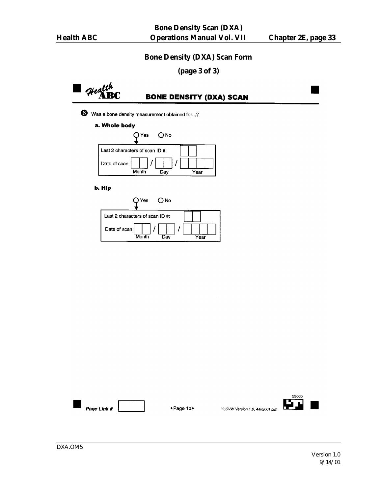### **Bone Density (DXA) Scan Form**

**(page 3 of 3)**

 $\mathsf{I}$  Health<br>ABC

# **BONE DENSITY (DXA) SCAN**

Was a bone density measurement obtained for...?

#### a. Whole body



#### b. Hip

| ◯ Yes l<br>ONo                  |  |
|---------------------------------|--|
| Last 2 characters of scan ID #: |  |
| Date of scan:                   |  |
| Month<br>Dav                    |  |



 $\bullet$  Page 10 $\bullet$ 

Y5CVW Version 1.0, 4/6/2001 pjm

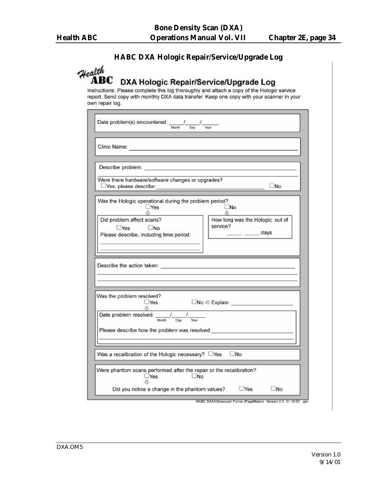# **HABC DXA Hologic Repair/Service/Upgrade Log**

| Date problem(s) encountered: _____/____/____<br>Month Day Year                                                                                                                                                                 |                                                                              |
|--------------------------------------------------------------------------------------------------------------------------------------------------------------------------------------------------------------------------------|------------------------------------------------------------------------------|
| Clinic Name: <b>All According to the Clinic Name: All According to the Clinic Name: All According to the Clinic Name: All According to the Clinic Name: All According to the Clinic Name: All According to the Clinic </b>     |                                                                              |
| Describe problem: experience and a series of the series of the series of the series of the series of the series of the series of the series of the series of the series of the series of the series of the series of the serie |                                                                              |
| Were there hardware/software changes or upgrades?                                                                                                                                                                              | No.                                                                          |
| Was the Hologic operational during the problem period?<br>Yes<br>$\mathfrak{g}$                                                                                                                                                | _No                                                                          |
| Did problem affect scans?<br>$Yes$ No<br>Please describe, including time period:                                                                                                                                               | How long was the Hologic out of<br>service?<br>$\overline{\phantom{a}}$ days |
|                                                                                                                                                                                                                                |                                                                              |
| Was the problem resolved?                                                                                                                                                                                                      |                                                                              |
| $\Box$ Yes<br>л<br>Date problem resolved:<br>Month<br>Day                                                                                                                                                                      | $\square$ No $\Leftrightarrow$ Explain:                                      |
| Please describe how the problem was resolved:                                                                                                                                                                                  |                                                                              |
| Was a recalibration of the Hologic necessary? DYes                                                                                                                                                                             | No                                                                           |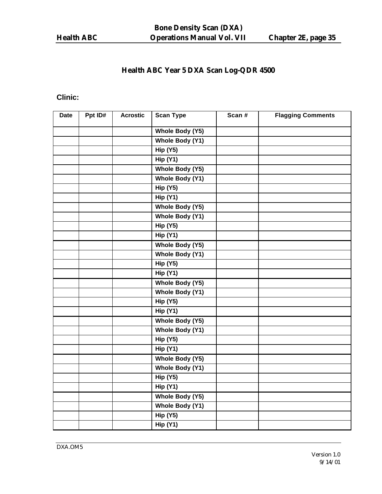# **Health ABC Year 5 DXA Scan Log-QDR 4500**

# **Clinic:**

| <b>Date</b> | Ppt ID# | <b>Acrostic</b> | <b>Scan Type</b> | Scan # | <b>Flagging Comments</b> |
|-------------|---------|-----------------|------------------|--------|--------------------------|
|             |         |                 | Whole Body (Y5)  |        |                          |
|             |         |                 | Whole Body (Y1)  |        |                          |
|             |         |                 | <b>Hip (Y5)</b>  |        |                          |
|             |         |                 | <b>Hip (Y1)</b>  |        |                          |
|             |         |                 | Whole Body (Y5)  |        |                          |
|             |         |                 | Whole Body (Y1)  |        |                          |
|             |         |                 | <b>Hip (Y5)</b>  |        |                          |
|             |         |                 | <b>Hip (Y1)</b>  |        |                          |
|             |         |                 | Whole Body (Y5)  |        |                          |
|             |         |                 | Whole Body (Y1)  |        |                          |
|             |         |                 | <b>Hip (Y5)</b>  |        |                          |
|             |         |                 | <b>Hip (Y1)</b>  |        |                          |
|             |         |                 | Whole Body (Y5)  |        |                          |
|             |         |                 | Whole Body (Y1)  |        |                          |
|             |         |                 | <b>Hip (Y5)</b>  |        |                          |
|             |         |                 | <b>Hip (Y1)</b>  |        |                          |
|             |         |                 | Whole Body (Y5)  |        |                          |
|             |         |                 | Whole Body (Y1)  |        |                          |
|             |         |                 | <b>Hip (Y5)</b>  |        |                          |
|             |         |                 | <b>Hip (Y1)</b>  |        |                          |
|             |         |                 | Whole Body (Y5)  |        |                          |
|             |         |                 | Whole Body (Y1)  |        |                          |
|             |         |                 | <b>Hip (Y5)</b>  |        |                          |
|             |         |                 | <b>Hip (Y1)</b>  |        |                          |
|             |         |                 | Whole Body (Y5)  |        |                          |
|             |         |                 | Whole Body (Y1)  |        |                          |
|             |         |                 | <b>Hip (Y5)</b>  |        |                          |
|             |         |                 | <b>Hip (Y1)</b>  |        |                          |
|             |         |                 | Whole Body (Y5)  |        |                          |
|             |         |                 | Whole Body (Y1)  |        |                          |
|             |         |                 | <b>Hip (Y5)</b>  |        |                          |
|             |         |                 | Hip(Y1)          |        |                          |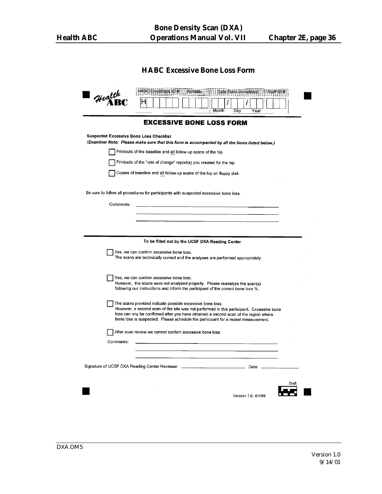# **HABC Excessive Bone Loss Form**

| Health                                         | HABC Enrollment ID #<br>Date Form Completed Staff ID #<br>Acrostic<br>Month<br>Dav<br>Year                                                                                                                                                                                                                                        |
|------------------------------------------------|-----------------------------------------------------------------------------------------------------------------------------------------------------------------------------------------------------------------------------------------------------------------------------------------------------------------------------------|
|                                                | <b>EXCESSIVE BONE LOSS FORM</b>                                                                                                                                                                                                                                                                                                   |
| <b>Suspected Excessive Bone Loss Checklist</b> |                                                                                                                                                                                                                                                                                                                                   |
|                                                | (Examiner Note: Please make sure that this form is accompanied by all the items listed below.)                                                                                                                                                                                                                                    |
|                                                | Printouts of the baseline and all follow-up scans of the hip                                                                                                                                                                                                                                                                      |
|                                                | Printouts of the "rate of change" report(s) you created for the hip                                                                                                                                                                                                                                                               |
|                                                | Copies of baseline and all follow-up scans of the hip on floppy disk                                                                                                                                                                                                                                                              |
|                                                | Be sure to follow all procedures for participants with suspected excessive bone loss.                                                                                                                                                                                                                                             |
|                                                |                                                                                                                                                                                                                                                                                                                                   |
| Comments:                                      |                                                                                                                                                                                                                                                                                                                                   |
|                                                |                                                                                                                                                                                                                                                                                                                                   |
|                                                |                                                                                                                                                                                                                                                                                                                                   |
|                                                | To be filled out by the UCSF DXA Reading Center                                                                                                                                                                                                                                                                                   |
|                                                | Yes, we can confirm excessive bone loss.<br>The scans are technically correct and the analyses are performed appropriately.                                                                                                                                                                                                       |
|                                                | Yes, we can confirm excessive bone loss.<br>However, the scans were not analyzed properly. Please reanalyze the scan(s)<br>following our instructions and inform the participant of the correct bone loss %.                                                                                                                      |
|                                                | The scans provided indicate possible excessive bone loss.<br>However, a second scan of the site was not performed in this participant. Excessive bone<br>loss can ony be confirmed after you have obtained a second scan of the region where<br>bone loss is suspected. Please schedule the participant for a repeat measurement. |
|                                                | After scan review we cannot confirm excessive bone loss.                                                                                                                                                                                                                                                                          |
| Comments:                                      | 이 사이 시간이 있는 것이 아니라 이 사이 사이에 있어요.                                                                                                                                                                                                                                                                                                  |
|                                                | the control of the control of the                                                                                                                                                                                                                                                                                                 |
|                                                |                                                                                                                                                                                                                                                                                                                                   |
|                                                | Draft                                                                                                                                                                                                                                                                                                                             |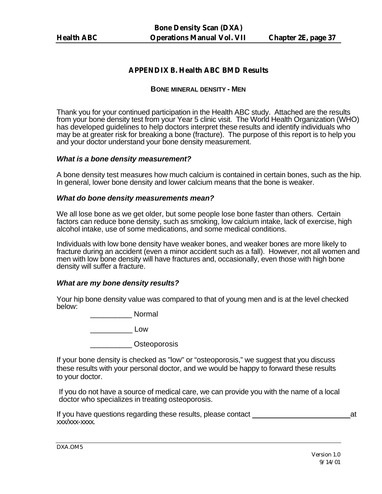#### **APPENDIX B. Health ABC BMD Results**

#### **BONE MINERAL DENSITY - MEN**

Thank you for your continued participation in the Health ABC study. Attached are the results from your bone density test from your Year 5 clinic visit. The World Health Organization (WHO) has developed guidelines to help doctors interpret these results and identify individuals who may be at greater risk for breaking a bone (fracture). The purpose of this report is to help you and your doctor understand your bone density measurement.

#### *What is a bone density measurement?*

A bone density test measures how much calcium is contained in certain bones, such as the hip. In general, lower bone density and lower calcium means that the bone is weaker.

#### *What do bone density measurements mean?*

We all lose bone as we get older, but some people lose bone faster than others. Certain factors can reduce bone density, such as smoking, low calcium intake, lack of exercise, high alcohol intake, use of some medications, and some medical conditions.

Individuals with low bone density have weaker bones, and weaker bones are more likely to fracture during an accident (even a minor accident such as a fall). However, not all women and men with low bone density will have fractures and, occasionally, even those with high bone density will suffer a fracture.

#### *What are my bone density results?*

Your hip bone density value was compared to that of young men and is at the level checked below:

\_\_\_\_\_\_\_\_\_\_ Normal

\_\_\_\_\_\_\_\_\_\_ Low

external obsteoporosis

If your bone density is checked as "low" or "osteoporosis," we suggest that you discuss these results with your personal doctor, and we would be happy to forward these results to your doctor.

If you do not have a source of medical care, we can provide you with the name of a local doctor who specializes in treating osteoporosis.

If you have questions regarding these results, please contact at the state of the state at at at at a state of the state at at a state of the state of the state at a state of the state of the state of the state of the stat xxx/xxx-xxxx.

DXA.OM5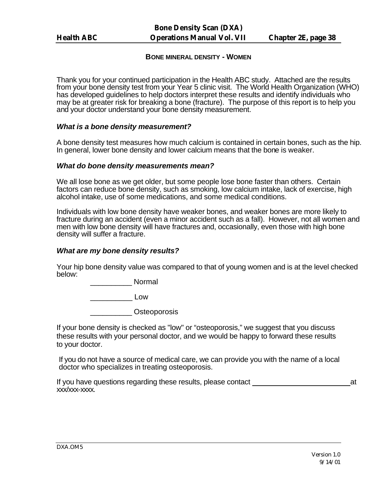#### **BONE MINERAL DENSITY - WOMEN**

Thank you for your continued participation in the Health ABC study. Attached are the results from your bone density test from your Year 5 clinic visit. The World Health Organization (WHO) has developed guidelines to help doctors interpret these results and identify individuals who may be at greater risk for breaking a bone (fracture). The purpose of this report is to help you and your doctor understand your bone density measurement.

#### *What is a bone density measurement?*

A bone density test measures how much calcium is contained in certain bones, such as the hip. In general, lower bone density and lower calcium means that the bone is weaker.

#### *What do bone density measurements mean?*

We all lose bone as we get older, but some people lose bone faster than others. Certain factors can reduce bone density, such as smoking, low calcium intake, lack of exercise, high alcohol intake, use of some medications, and some medical conditions.

Individuals with low bone density have weaker bones, and weaker bones are more likely to fracture during an accident (even a minor accident such as a fall). However, not all women and men with low bone density will have fractures and, occasionally, even those with high bone density will suffer a fracture.

#### *What are my bone density results?*

Your hip bone density value was compared to that of young women and is at the level checked below:

\_\_\_\_\_\_\_\_\_\_ Normal

\_\_\_\_\_\_\_\_\_\_ Low

\_\_\_\_\_\_\_\_\_\_ Osteoporosis

If your bone density is checked as "low" or "osteoporosis," we suggest that you discuss these results with your personal doctor, and we would be happy to forward these results to your doctor.

If you do not have a source of medical care, we can provide you with the name of a local doctor who specializes in treating osteoporosis.

If you have questions regarding these results, please contact at xxx/xxx-xxxx.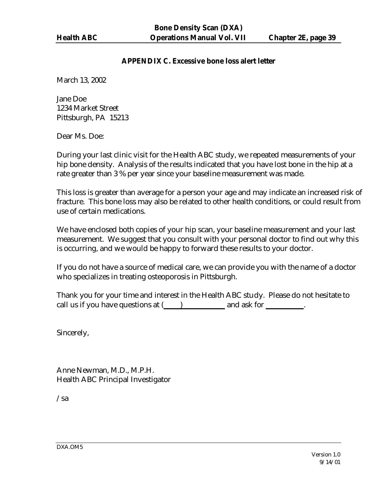#### **APPENDIX C. Excessive bone loss alert letter**

March 13, 2002

Jane Doe 1234 Market Street Pittsburgh, PA 15213

Dear Ms. Doe:

During your last clinic visit for the Health ABC study, we repeated measurements of your hip bone density. Analysis of the results indicated that you have lost bone in the hip at a rate greater than 3 % per year since your baseline measurement was made.

This loss is greater than average for a person your age and may indicate an increased risk of fracture. This bone loss may also be related to other health conditions, or could result from use of certain medications.

We have enclosed both copies of your hip scan, your baseline measurement and your last measurement. We suggest that you consult with your personal doctor to find out why this is occurring, and we would be happy to forward these results to your doctor.

If you do not have a source of medical care, we can provide you with the name of a doctor who specializes in treating osteoporosis in Pittsburgh.

Thank you for your time and interest in the Health ABC study. Please do not hesitate to call us if you have questions at ( ) and ask for  $\cdot$ 

Sincerely,

Anne Newman, M.D., M.P.H. Health ABC Principal Investigator

/sa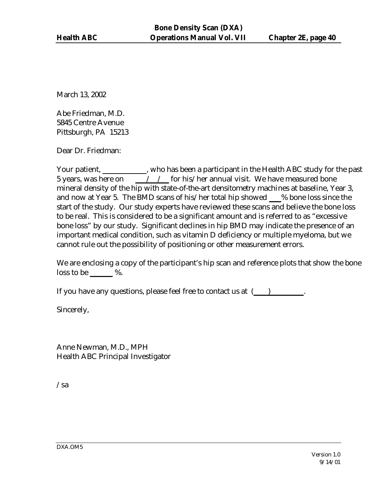March 13, 2002

Abe Friedman, M.D. 5845 Centre Avenue Pittsburgh, PA 15213

Dear Dr. Friedman:

Your patient, \_\_\_\_\_\_\_\_\_\_\_, who has been a participant in the Health ABC study for the past 5 years, was here on  $\frac{1}{2}$  / for his/her annual visit. We have measured bone mineral density of the hip with state-of-the-art densitometry machines at baseline, Year 3, and now at Year 5. The BMD scans of his/her total hip showed % bone loss since the start of the study. Our study experts have reviewed these scans and believe the bone loss to be real. This is considered to be a significant amount and is referred to as "excessive bone loss" by our study. Significant declines in hip BMD may indicate the presence of an important medical condition, such as vitamin D deficiency or multiple myeloma, but we cannot rule out the possibility of positioning or other measurement errors.

We are enclosing a copy of the participant's hip scan and reference plots that show the bone loss to be  $\_\_\_\%$ .

If you have any questions, please feel free to contact us at  $($ )

Sincerely,

Anne Newman, M.D., MPH Health ABC Principal Investigator

/sa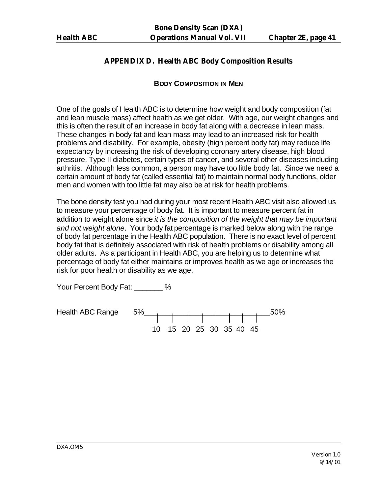# **APPENDIX D. Health ABC Body Composition Results**

#### **BODY COMPOSITION IN MEN**

One of the goals of Health ABC is to determine how weight and body composition (fat and lean muscle mass) affect health as we get older. With age, our weight changes and this is often the result of an increase in body fat along with a decrease in lean mass. These changes in body fat and lean mass may lead to an increased risk for health problems and disability. For example, obesity (high percent body fat) may reduce life expectancy by increasing the risk of developing coronary artery disease, high blood pressure, Type II diabetes, certain types of cancer, and several other diseases including arthritis. Although less common, a person may have too little body fat. Since we need a certain amount of body fat (called essential fat) to maintain normal body functions, older men and women with too little fat may also be at risk for health problems.

The bone density test you had during your most recent Health ABC visit also allowed us to measure your percentage of body fat. It is important to measure percent fat in addition to weight alone since *it is the composition of the weight that may be important and not weight alone*. Your body fat percentage is marked below along with the range of body fat percentage in the Health ABC population. There is no exact level of percent body fat that is definitely associated with risk of health problems or disability among all older adults. As a participant in Health ABC, you are helping us to determine what percentage of body fat either maintains or improves health as we age or increases the risk for poor health or disability as we age.

Your Percent Body Fat: \_\_\_\_\_\_\_ %

Health ABC Range 5%\_\_\_\_\_\_\_\_\_\_\_\_\_\_\_\_\_\_\_\_\_\_\_\_\_\_\_\_\_\_50% 10 15 20 25 30 35 40 45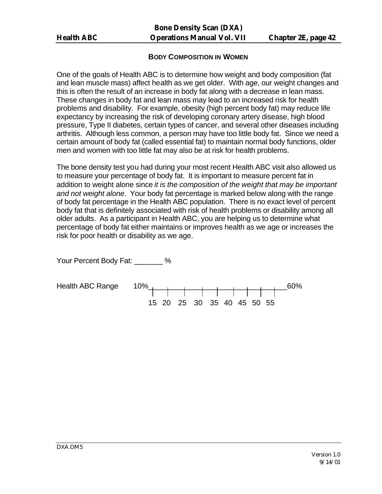#### **BODY COMPOSITION IN WOMEN**

One of the goals of Health ABC is to determine how weight and body composition (fat and lean muscle mass) affect health as we get older. With age, our weight changes and this is often the result of an increase in body fat along with a decrease in lean mass. These changes in body fat and lean mass may lead to an increased risk for health problems and disability. For example, obesity (high percent body fat) may reduce life expectancy by increasing the risk of developing coronary artery disease, high blood pressure, Type II diabetes, certain types of cancer, and several other diseases including arthritis. Although less common, a person may have too little body fat. Since we need a certain amount of body fat (called essential fat) to maintain normal body functions, older men and women with too little fat may also be at risk for health problems.

The bone density test you had during your most recent Health ABC visit also allowed us to measure your percentage of body fat. It is important to measure percent fat in addition to weight alone since *it is the composition of the weight that may be important and not weight alone*. Your body fat percentage is marked below along with the range of body fat percentage in the Health ABC population. There is no exact level of percent body fat that is definitely associated with risk of health problems or disability among all older adults. As a participant in Health ABC, you are helping us to determine what percentage of body fat either maintains or improves health as we age or increases the risk for poor health or disability as we age.

Your Percent Body Fat:  $\%$ 

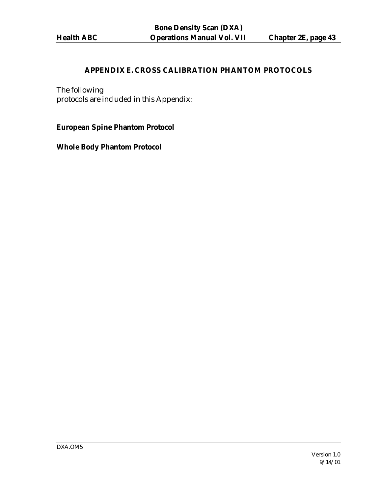# **APPENDIX E. CROSS CALIBRATION PHANTOM PROTOCOLS**

The following protocols are included in this Appendix:

**European Spine Phantom Protocol**

**Whole Body Phantom Protocol**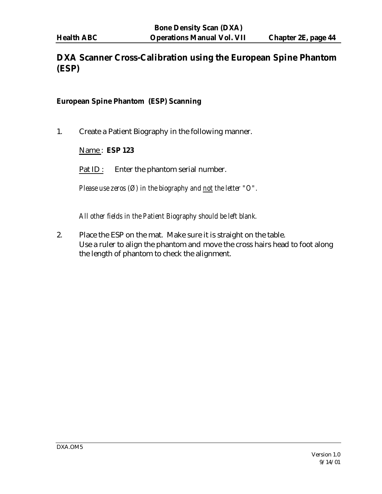# **DXA Scanner Cross-Calibration using the European Spine Phantom (ESP)**

#### **European Spine Phantom (ESP) Scanning**

1. Create a Patient Biography in the following manner.

### Name : **ESP 123**

Pat ID : Enter the phantom serial number.

*Please use zeros (Ø) in the biography and not the letter "O".*

*All other fields in the Patient Biography should be left blank.*

2. Place the ESP on the mat. Make sure it is straight on the table. Use a ruler to align the phantom and move the cross hairs head to foot along the length of phantom to check the alignment.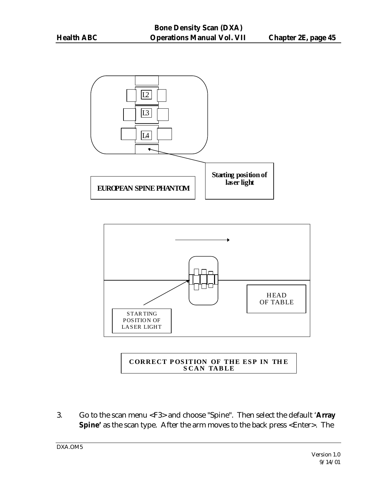



#### **CORRECT POS ITION OF THE ESP IN TH E S CAN TAB LE**

3. Go to the scan menu <F3> and choose "Spine". Then select the default '**Array Spine'** as the scan type. After the arm moves to the back press <Enter>. The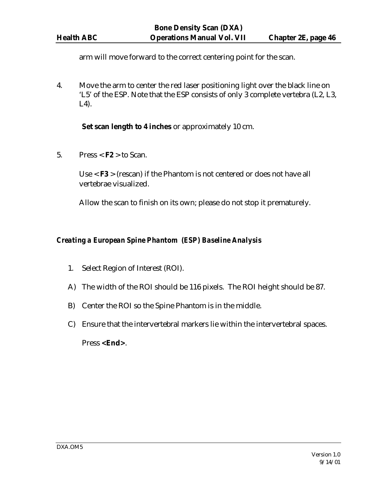arm will move forward to the correct centering point for the scan.

4. Move the arm to center the red laser positioning light over the black line on 'L5' of the ESP. Note that the ESP consists of only 3 complete vertebra (L2, L3, L4).

**Set scan length to 4 inches** or approximately 10 cm.

5. Press  $\leq$  **F2**  $>$  to Scan.

Use < **F3** > (rescan) if the Phantom is not centered or does not have all vertebrae visualized.

Allow the scan to finish on its own; please do not stop it prematurely.

#### *Creating a European Spine Phantom (ESP) Baseline Analysis*

- 1. Select Region of Interest (ROI).
- A) The width of the ROI should be 116 pixels. The ROI height should be 87.
- B) Center the ROI so the Spine Phantom is in the middle.
- C) Ensure that the intervertebral markers lie within the intervertebral spaces.

Press **<End>**.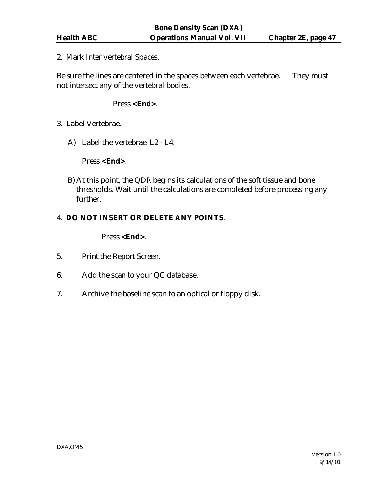2. Mark Inter vertebral Spaces.

Be sure the lines are centered in the spaces between each vertebrae. They must not intersect any of the vertebral bodies.

#### Press **<End>**.

- 3. Label Vertebrae.
	- A) Label the vertebrae L2 L4.

Press **<End>**.

B)At this point, the QDR begins its calculations of the soft tissue and bone thresholds. Wait until the calculations are completed before processing any further.

# 4. **DO NOT INSERT OR DELETE ANY POINTS**.

Press **<End>**.

- 5. Print the Report Screen.
- 6. Add the scan to your QC database.
- 7. Archive the baseline scan to an optical or floppy disk.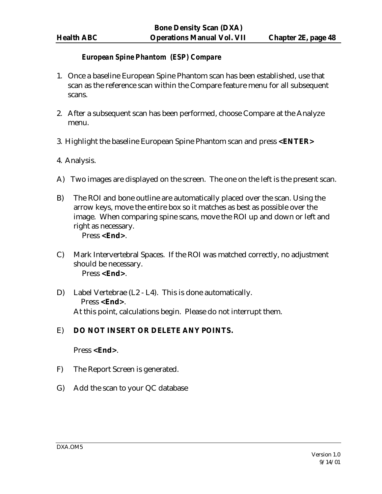#### *European Spine Phantom (ESP) Compare*

- 1. Once a baseline European Spine Phantom scan has been established, use that scan as the reference scan within the Compare feature menu for all subsequent scans.
- 2. After a subsequent scan has been performed, choose Compare at the Analyze menu.
- 3. Highlight the baseline European Spine Phantom scan and press **<ENTER>**
- 4. Analysis.
- A) Two images are displayed on the screen. The one on the left is the present scan.
- B) The ROI and bone outline are automatically placed over the scan. Using the arrow keys, move the entire box so it matches as best as possible over the image. When comparing spine scans, move the ROI up and down or left and right as necessary. Press **<End>**.
- C) Mark Intervertebral Spaces. If the ROI was matched correctly, no adjustment should be necessary.

Press **<End>**.

D) Label Vertebrae (L2 - L4). This is done automatically. Press **<End>**. At this point, calculations begin. Please do not interrupt them.

# E) **DO NOT INSERT OR DELETE ANY POINTS.**

#### Press **<End>**.

- F) The Report Screen is generated.
- G) Add the scan to your QC database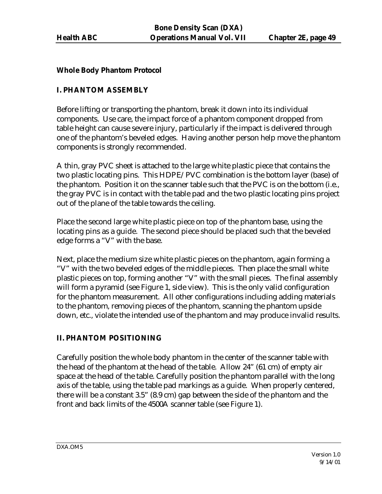#### **Whole Body Phantom Protocol**

# **I. PHANTOM ASSEMBLY**

Before lifting or transporting the phantom, break it down into its individual components. Use care, the impact force of a phantom component dropped from table height can cause severe injury, particularly if the impact is delivered through one of the phantom's beveled edges. Having another person help move the phantom components is strongly recommended.

A thin, gray PVC sheet is attached to the large white plastic piece that contains the two plastic locating pins. This HDPE/PVC combination is the bottom layer (base) of the phantom. Position it on the scanner table such that the PVC is on the bottom (i.e., the gray PVC is in contact with the table pad and the two plastic locating pins project out of the plane of the table towards the ceiling.

Place the second large white plastic piece on top of the phantom base, using the locating pins as a guide. The second piece should be placed such that the beveled edge forms a "V" with the base.

Next, place the medium size white plastic pieces on the phantom, again forming a "V" with the two beveled edges of the middle pieces. Then place the small white plastic pieces on top, forming another "V" with the small pieces. The final assembly will form a pyramid (see Figure 1, side view). This is the only valid configuration for the phantom measurement. All other configurations including adding materials to the phantom, removing pieces of the phantom, scanning the phantom upside down, etc., violate the intended use of the phantom and may produce invalid results.

# **II. PHANTOM POSITIONING**

Carefully position the whole body phantom in the center of the scanner table with the head of the phantom at the head of the table. Allow 24" (61 cm) of empty air space at the head of the table. Carefully position the phantom parallel with the long axis of the table, using the table pad markings as a guide. When properly centered, there will be a constant 3.5" (8.9 cm) gap between the side of the phantom and the front and back limits of the 4500A scanner table (see Figure 1).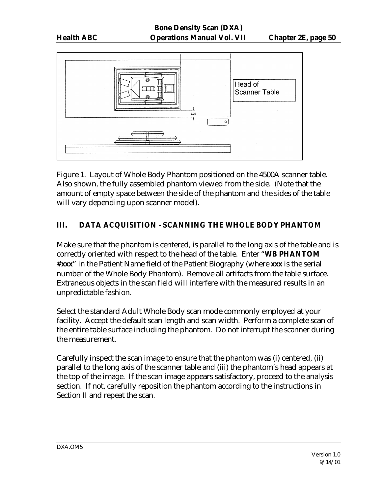

Figure 1. Layout of Whole Body Phantom positioned on the 4500A scanner table. Also shown, the fully assembled phantom viewed from the side. (Note that the amount of empty space between the side of the phantom and the sides of the table will vary depending upon scanner model).

# **III. DATA ACQUISITION - SCANNING THE WHOLE BODY PHANTOM**

Make sure that the phantom is centered, is parallel to the long axis of the table and is correctly oriented with respect to the head of the table. Enter "**WB PHANTOM #xxx**" in the Patient Name field of the Patient Biography (where **xxx** is the serial number of the Whole Body Phantom). Remove all artifacts from the table surface. Extraneous objects in the scan field will interfere with the measured results in an unpredictable fashion.

Select the standard Adult Whole Body scan mode commonly employed at your facility. Accept the default scan length and scan width. Perform a complete scan of the entire table surface including the phantom. Do not interrupt the scanner during the measurement.

Carefully inspect the scan image to ensure that the phantom was (i) centered, (ii) parallel to the long axis of the scanner table and (iii) the phantom's head appears at the top of the image. If the scan image appears satisfactory, proceed to the analysis section. If not, carefully reposition the phantom according to the instructions in Section II and repeat the scan.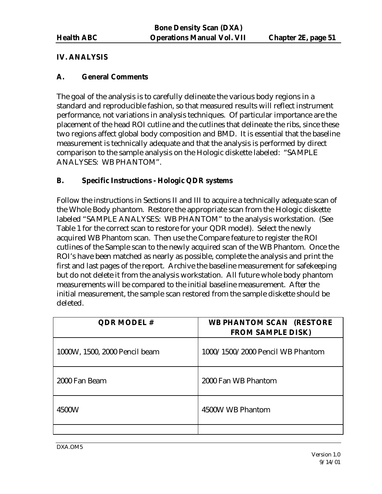# **IV. ANALYSIS**

# **A. General Comments**

The goal of the analysis is to carefully delineate the various body regions in a standard and reproducible fashion, so that measured results will reflect instrument performance, not variations in analysis techniques. Of particular importance are the placement of the head ROI cutline and the cutlines that delineate the ribs, since these two regions affect global body composition and BMD. It is essential that the baseline measurement is technically adequate and that the analysis is performed by direct comparison to the sample analysis on the Hologic diskette labeled: "SAMPLE ANALYSES: WB PHANTOM".

#### **B. Specific Instructions - Hologic QDR systems**

Follow the instructions in Sections II and III to acquire a technically adequate scan of the Whole Body phantom. Restore the appropriate scan from the Hologic diskette labeled "SAMPLE ANALYSES: WB PHANTOM" to the analysis workstation. (See Table 1 for the correct scan to restore for your QDR model). Select the newly acquired WB Phantom scan. Then use the Compare feature to register the ROI cutlines of the Sample scan to the newly acquired scan of the WB Phantom. Once the ROI's have been matched as nearly as possible, complete the analysis and print the first and last pages of the report. Archive the baseline measurement for safekeeping but do not delete it from the analysis workstation. All future whole body phantom measurements will be compared to the initial baseline measurement. After the initial measurement, the sample scan restored from the sample diskette should be deleted.

| <b>QDR MODEL#</b>             | <b>WB PHANTOM SCAN (RESTORE</b><br><b>FROM SAMPLE DISK)</b> |
|-------------------------------|-------------------------------------------------------------|
| 1000W, 1500, 2000 Pencil beam | 1000/1500/2000 Pencil WB Phantom                            |
| 2000 Fan Beam                 | 2000 Fan WB Phantom                                         |
| 4500W                         | 4500W WB Phantom                                            |
|                               |                                                             |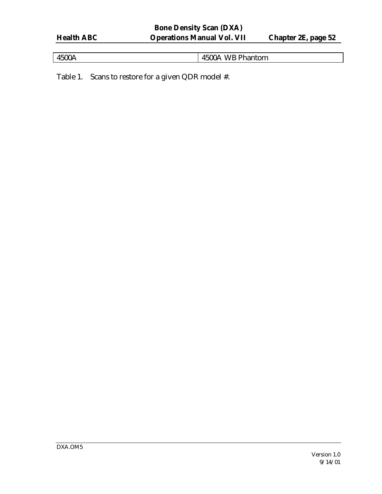| I |
|---|
|   |

4500A 4500A WB Phantom

Table 1. Scans to restore for a given QDR model #.